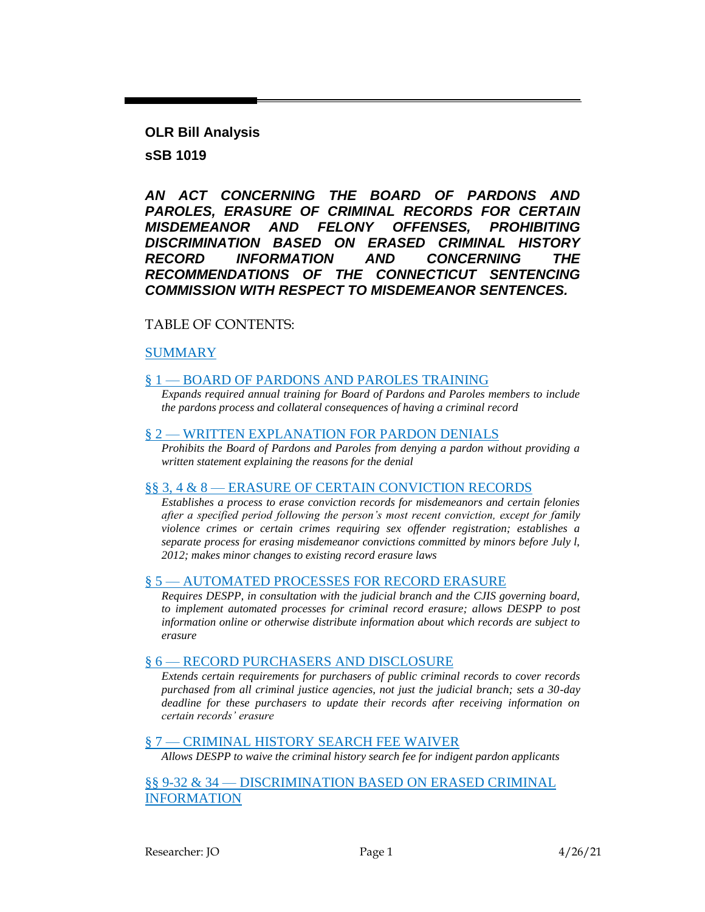**OLR Bill Analysis sSB 1019**

*AN ACT CONCERNING THE BOARD OF PARDONS AND PAROLES, ERASURE OF CRIMINAL RECORDS FOR CERTAIN MISDEMEANOR AND FELONY OFFENSES, PROHIBITING DISCRIMINATION BASED ON ERASED CRIMINAL HISTORY RECORD INFORMATION AND CONCERNING THE RECOMMENDATIONS OF THE CONNECTICUT SENTENCING COMMISSION WITH RESPECT TO MISDEMEANOR SENTENCES.*

### TABLE OF CONTENTS:

### [SUMMARY](#page-1-0)

### § 1 — [BOARD OF PARDONS AND PAROLES TRAINING](#page-2-0)

*[Expands required annual training for Board of Pardons and Paroles members to include](#page-2-1)  [the pardons process and collateral consequences of having a criminal record](#page-2-1)*

#### § 2 — [WRITTEN EXPLANATION FOR PARDON DENIALS](#page-2-2)

*[Prohibits the Board of Pardons and Paroles from denying a pardon without providing a](#page-2-3)  [written statement explaining the reasons for the denial](#page-2-3)*

#### §§ 3, 4 & 8 — [ERASURE OF CERTAIN CONVICTION RECORDS](#page-3-0)

*[Establishes a process to erase conviction records for misdemeanors and certain felonies](#page-3-1)  [after a specified period following the person's most recent conviction, except for family](#page-3-1)  [violence crimes or certain crimes requiring sex offender registration; establishes a](#page-3-1)  [separate process for erasing misdemeanor convictions committed by minors before July l,](#page-3-1)  [2012; makes minor changes to existing record erasure laws](#page-3-1)*

#### § 5 — [AUTOMATED PROCESSES FOR RECORD ERASURE](#page-7-0)

*[Requires DESPP, in consultation with the judicial branch and the CJIS governing board,](#page-7-1)  to implement automated processes for criminal record erasure; allows DESPP to post [information online or otherwise distribute information about which records are subject to](#page-7-1)  [erasure](#page-7-1)*

#### § 6 — [RECORD PURCHASERS AND DISCLOSURE](#page-8-0)

*[Extends certain requirements for purchasers of public criminal records to cover records](#page-8-1)  [purchased from all criminal justice agencies, not just the judicial branch; sets a 30-day](#page-8-1)  [deadline for these purchasers to update their records after receiving information on](#page-8-1)  [certain records' erasure](#page-8-1)*

#### § 7 — [CRIMINAL HISTORY SEARCH FEE WAIVER](#page-8-2)

*[Allows DESPP to waive the criminal history search fee for indigent pardon applicants](#page-8-3)*

§§ 9-32 & 34 — [DISCRIMINATION BASED](#page-9-0) ON ERASED CRIMINAL [INFORMATION](#page-9-0)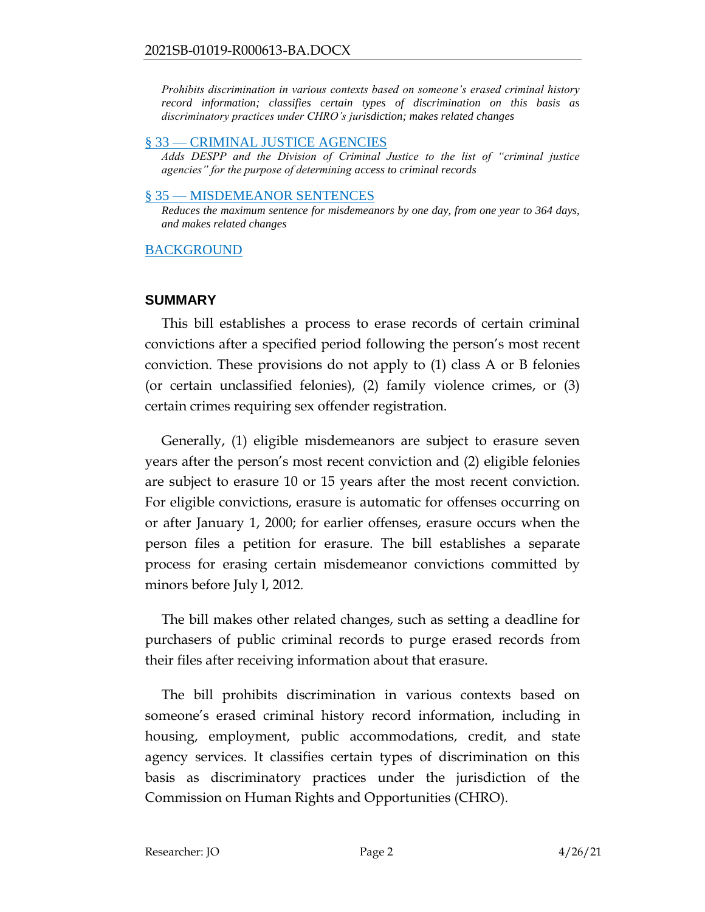*[Prohibits discrimination in various contexts based on someone's erased criminal history](#page-9-1)  [record information; classifies certain types of discrimination on this basis as](#page-9-1)  [discriminatory practices under CHRO's jurisdiction; makes related changes](#page-9-1)*

### § 33 — [CRIMINAL JUSTICE AGENCIES](#page-16-0)

*[Adds DESPP and the Division of Criminal Justice to the list of "criminal justice](#page-16-1)  [agencies" for the purpose of determining access to criminal records](#page-16-1)*

### § 35 — [MISDEMEANOR SENTENCES](#page-17-0)

*[Reduces the maximum sentence for misdemeanors by one day, from one year to 364 days,](#page-17-1)  [and makes related changes](#page-17-1)*

## **[BACKGROUND](#page-18-0)**

## <span id="page-1-0"></span>**SUMMARY**

This bill establishes a process to erase records of certain criminal convictions after a specified period following the person's most recent conviction. These provisions do not apply to (1) class A or B felonies (or certain unclassified felonies), (2) family violence crimes, or (3) certain crimes requiring sex offender registration.

Generally, (1) eligible misdemeanors are subject to erasure seven years after the person's most recent conviction and (2) eligible felonies are subject to erasure 10 or 15 years after the most recent conviction. For eligible convictions, erasure is automatic for offenses occurring on or after January 1, 2000; for earlier offenses, erasure occurs when the person files a petition for erasure. The bill establishes a separate process for erasing certain misdemeanor convictions committed by minors before July l, 2012.

The bill makes other related changes, such as setting a deadline for purchasers of public criminal records to purge erased records from their files after receiving information about that erasure.

The bill prohibits discrimination in various contexts based on someone's erased criminal history record information, including in housing, employment, public accommodations, credit, and state agency services. It classifies certain types of discrimination on this basis as discriminatory practices under the jurisdiction of the Commission on Human Rights and Opportunities (CHRO).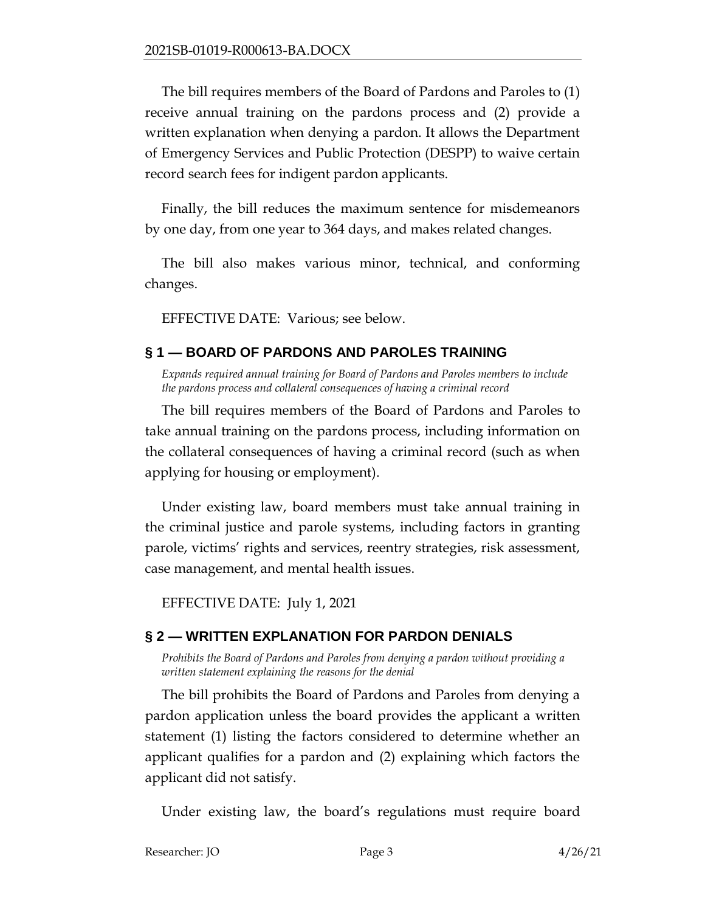The bill requires members of the Board of Pardons and Paroles to (1) receive annual training on the pardons process and (2) provide a written explanation when denying a pardon. It allows the Department of Emergency Services and Public Protection (DESPP) to waive certain record search fees for indigent pardon applicants.

Finally, the bill reduces the maximum sentence for misdemeanors by one day, from one year to 364 days, and makes related changes.

The bill also makes various minor, technical, and conforming changes.

EFFECTIVE DATE: Various; see below.

# <span id="page-2-0"></span>**§ 1 — BOARD OF PARDONS AND PAROLES TRAINING**

<span id="page-2-1"></span>*Expands required annual training for Board of Pardons and Paroles members to include the pardons process and collateral consequences of having a criminal record* 

The bill requires members of the Board of Pardons and Paroles to take annual training on the pardons process, including information on the collateral consequences of having a criminal record (such as when applying for housing or employment).

Under existing law, board members must take annual training in the criminal justice and parole systems, including factors in granting parole, victims' rights and services, reentry strategies, risk assessment, case management, and mental health issues.

EFFECTIVE DATE: July 1, 2021

# <span id="page-2-2"></span>**§ 2 — WRITTEN EXPLANATION FOR PARDON DENIALS**

<span id="page-2-3"></span>*Prohibits the Board of Pardons and Paroles from denying a pardon without providing a written statement explaining the reasons for the denial*

The bill prohibits the Board of Pardons and Paroles from denying a pardon application unless the board provides the applicant a written statement (1) listing the factors considered to determine whether an applicant qualifies for a pardon and (2) explaining which factors the applicant did not satisfy.

Under existing law, the board's regulations must require board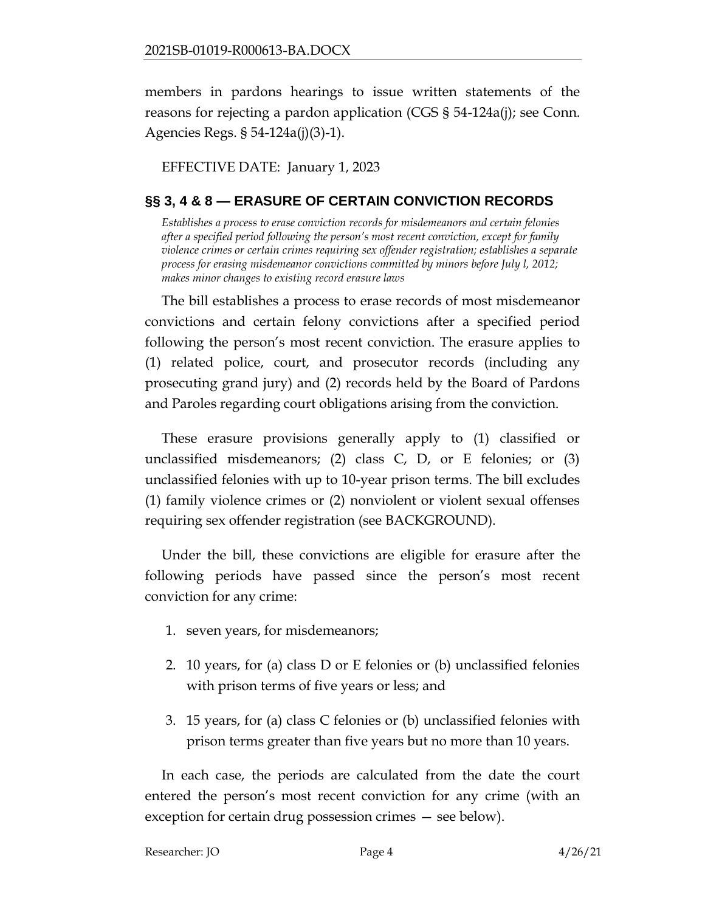members in pardons hearings to issue written statements of the reasons for rejecting a pardon application (CGS § 54-124a(j); see Conn. Agencies Regs. § 54-124a(j)(3)-1).

EFFECTIVE DATE: January 1, 2023

# <span id="page-3-0"></span>**§§ 3, 4 & 8 — ERASURE OF CERTAIN CONVICTION RECORDS**

<span id="page-3-1"></span>*Establishes a process to erase conviction records for misdemeanors and certain felonies after a specified period following the person's most recent conviction, except for family violence crimes or certain crimes requiring sex offender registration; establishes a separate process for erasing misdemeanor convictions committed by minors before July l, 2012; makes minor changes to existing record erasure laws*

The bill establishes a process to erase records of most misdemeanor convictions and certain felony convictions after a specified period following the person's most recent conviction. The erasure applies to (1) related police, court, and prosecutor records (including any prosecuting grand jury) and (2) records held by the Board of Pardons and Paroles regarding court obligations arising from the conviction.

These erasure provisions generally apply to (1) classified or unclassified misdemeanors; (2) class  $C$ ,  $D$ , or  $E$  felonies; or (3) unclassified felonies with up to 10-year prison terms. The bill excludes (1) family violence crimes or (2) nonviolent or violent sexual offenses requiring sex offender registration (see BACKGROUND).

Under the bill, these convictions are eligible for erasure after the following periods have passed since the person's most recent conviction for any crime:

- 1. seven years, for misdemeanors;
- 2. 10 years, for (a) class D or E felonies or (b) unclassified felonies with prison terms of five years or less; and
- 3. 15 years, for (a) class C felonies or (b) unclassified felonies with prison terms greater than five years but no more than 10 years.

In each case, the periods are calculated from the date the court entered the person's most recent conviction for any crime (with an exception for certain drug possession crimes — see below).

```
Researcher: JO Page 4 4/26/21
```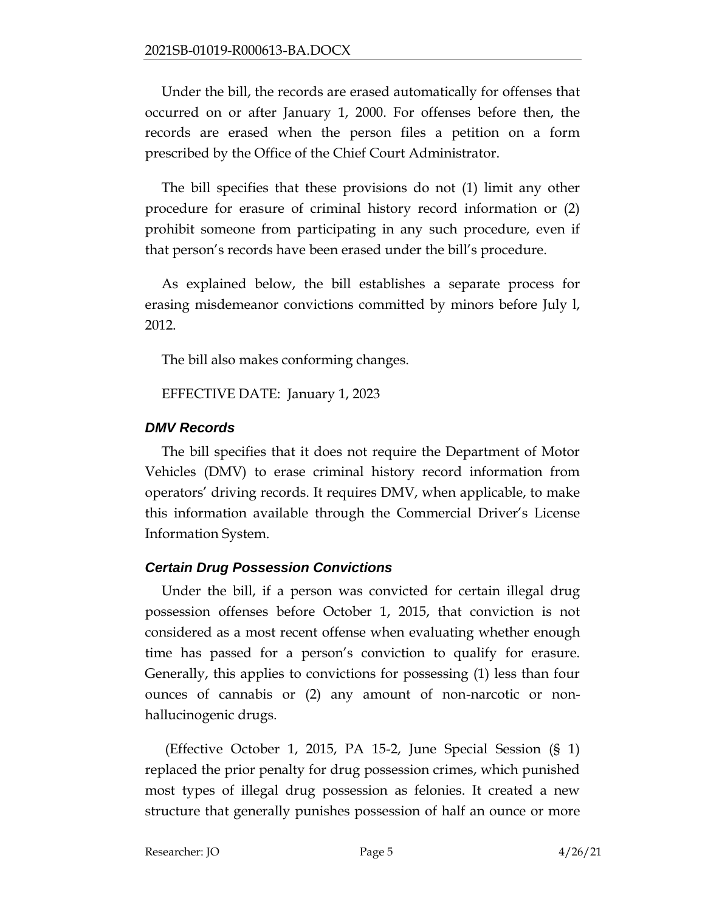Under the bill, the records are erased automatically for offenses that occurred on or after January 1, 2000. For offenses before then, the records are erased when the person files a petition on a form prescribed by the Office of the Chief Court Administrator.

The bill specifies that these provisions do not (1) limit any other procedure for erasure of criminal history record information or (2) prohibit someone from participating in any such procedure, even if that person's records have been erased under the bill's procedure.

As explained below, the bill establishes a separate process for erasing misdemeanor convictions committed by minors before July l, 2012.

The bill also makes conforming changes.

EFFECTIVE DATE: January 1, 2023

## *DMV Records*

The bill specifies that it does not require the Department of Motor Vehicles (DMV) to erase criminal history record information from operators' driving records. It requires DMV, when applicable, to make this information available through the Commercial Driver's License Information System.

# *Certain Drug Possession Convictions*

Under the bill, if a person was convicted for certain illegal drug possession offenses before October 1, 2015, that conviction is not considered as a most recent offense when evaluating whether enough time has passed for a person's conviction to qualify for erasure. Generally, this applies to convictions for possessing (1) less than four ounces of cannabis or (2) any amount of non-narcotic or nonhallucinogenic drugs.

(Effective October 1, 2015, PA 15-2, June Special Session (§ 1) replaced the prior penalty for drug possession crimes, which punished most types of illegal drug possession as felonies. It created a new structure that generally punishes possession of half an ounce or more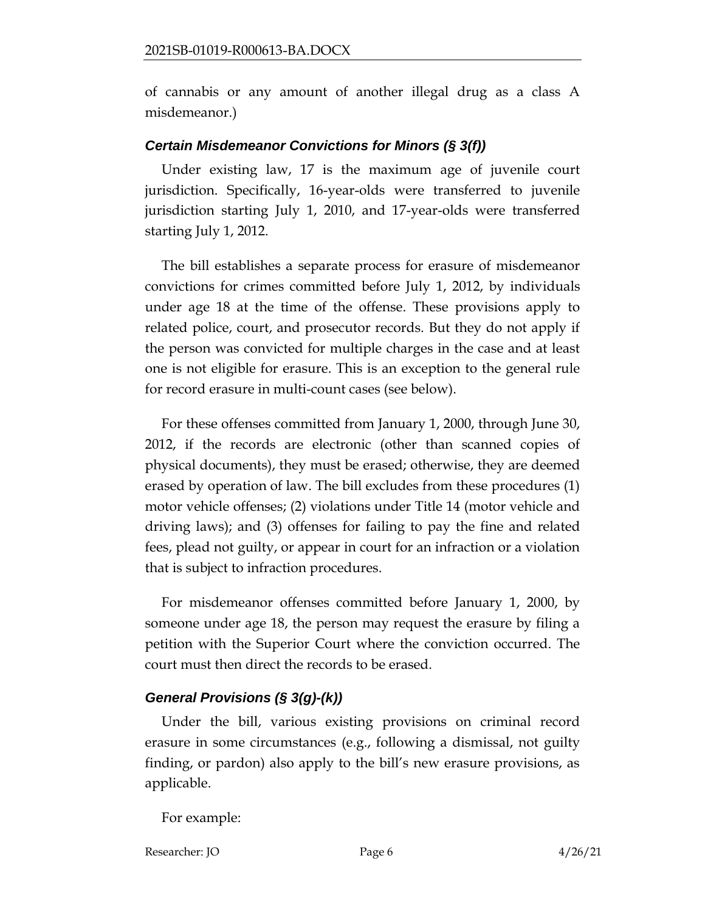of cannabis or any amount of another illegal drug as a class A misdemeanor.)

### *Certain Misdemeanor Convictions for Minors (§ 3(f))*

Under existing law, 17 is the maximum age of juvenile court jurisdiction. Specifically, 16-year-olds were transferred to juvenile jurisdiction starting July 1, 2010, and 17-year-olds were transferred starting July 1, 2012.

The bill establishes a separate process for erasure of misdemeanor convictions for crimes committed before July 1, 2012, by individuals under age 18 at the time of the offense. These provisions apply to related police, court, and prosecutor records. But they do not apply if the person was convicted for multiple charges in the case and at least one is not eligible for erasure. This is an exception to the general rule for record erasure in multi-count cases (see below).

For these offenses committed from January 1, 2000, through June 30, 2012, if the records are electronic (other than scanned copies of physical documents), they must be erased; otherwise, they are deemed erased by operation of law. The bill excludes from these procedures (1) motor vehicle offenses; (2) violations under Title 14 (motor vehicle and driving laws); and (3) offenses for failing to pay the fine and related fees, plead not guilty, or appear in court for an infraction or a violation that is subject to infraction procedures.

For misdemeanor offenses committed before January 1, 2000, by someone under age 18, the person may request the erasure by filing a petition with the Superior Court where the conviction occurred. The court must then direct the records to be erased.

### *General Provisions (§ 3(g)-(k))*

Under the bill, various existing provisions on criminal record erasure in some circumstances (e.g., following a dismissal, not guilty finding, or pardon) also apply to the bill's new erasure provisions, as applicable.

For example:

Researcher: JO Page 6 4/26/21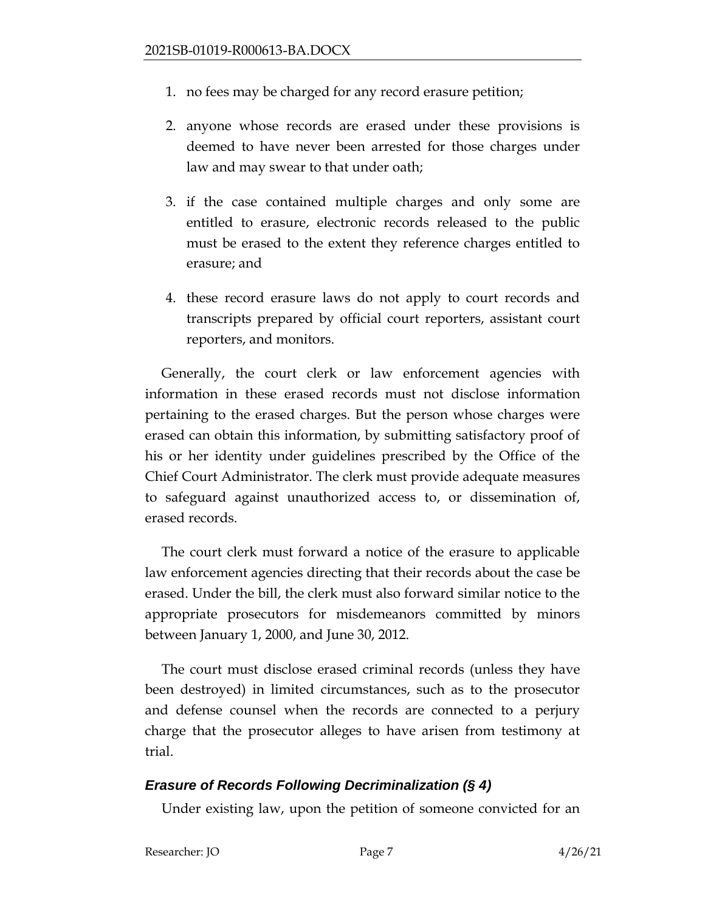- 1. no fees may be charged for any record erasure petition;
- 2. anyone whose records are erased under these provisions is deemed to have never been arrested for those charges under law and may swear to that under oath;
- 3. if the case contained multiple charges and only some are entitled to erasure, electronic records released to the public must be erased to the extent they reference charges entitled to erasure; and
- 4. these record erasure laws do not apply to court records and transcripts prepared by official court reporters, assistant court reporters, and monitors.

Generally, the court clerk or law enforcement agencies with information in these erased records must not disclose information pertaining to the erased charges. But the person whose charges were erased can obtain this information, by submitting satisfactory proof of his or her identity under guidelines prescribed by the Office of the Chief Court Administrator. The clerk must provide adequate measures to safeguard against unauthorized access to, or dissemination of, erased records.

The court clerk must forward a notice of the erasure to applicable law enforcement agencies directing that their records about the case be erased. Under the bill, the clerk must also forward similar notice to the appropriate prosecutors for misdemeanors committed by minors between January 1, 2000, and June 30, 2012.

The court must disclose erased criminal records (unless they have been destroyed) in limited circumstances, such as to the prosecutor and defense counsel when the records are connected to a perjury charge that the prosecutor alleges to have arisen from testimony at trial.

# *Erasure of Records Following Decriminalization (§ 4)*

Under existing law, upon the petition of someone convicted for an

Researcher: JO Page 7 4/26/21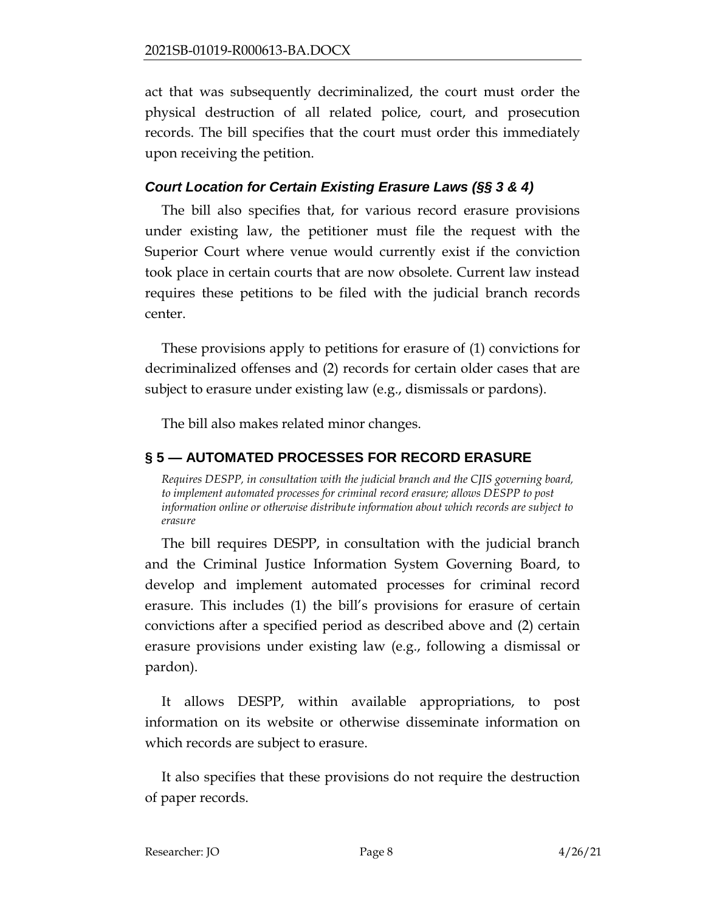act that was subsequently decriminalized, the court must order the physical destruction of all related police, court, and prosecution records. The bill specifies that the court must order this immediately upon receiving the petition.

# *Court Location for Certain Existing Erasure Laws (§§ 3 & 4)*

The bill also specifies that, for various record erasure provisions under existing law, the petitioner must file the request with the Superior Court where venue would currently exist if the conviction took place in certain courts that are now obsolete. Current law instead requires these petitions to be filed with the judicial branch records center.

These provisions apply to petitions for erasure of (1) convictions for decriminalized offenses and (2) records for certain older cases that are subject to erasure under existing law (e.g., dismissals or pardons).

The bill also makes related minor changes.

# <span id="page-7-0"></span>**§ 5 — AUTOMATED PROCESSES FOR RECORD ERASURE**

<span id="page-7-1"></span>*Requires DESPP, in consultation with the judicial branch and the CJIS governing board, to implement automated processes for criminal record erasure; allows DESPP to post information online or otherwise distribute information about which records are subject to erasure*

The bill requires DESPP, in consultation with the judicial branch and the Criminal Justice Information System Governing Board, to develop and implement automated processes for criminal record erasure. This includes (1) the bill's provisions for erasure of certain convictions after a specified period as described above and (2) certain erasure provisions under existing law (e.g., following a dismissal or pardon).

It allows DESPP, within available appropriations, to post information on its website or otherwise disseminate information on which records are subject to erasure.

It also specifies that these provisions do not require the destruction of paper records.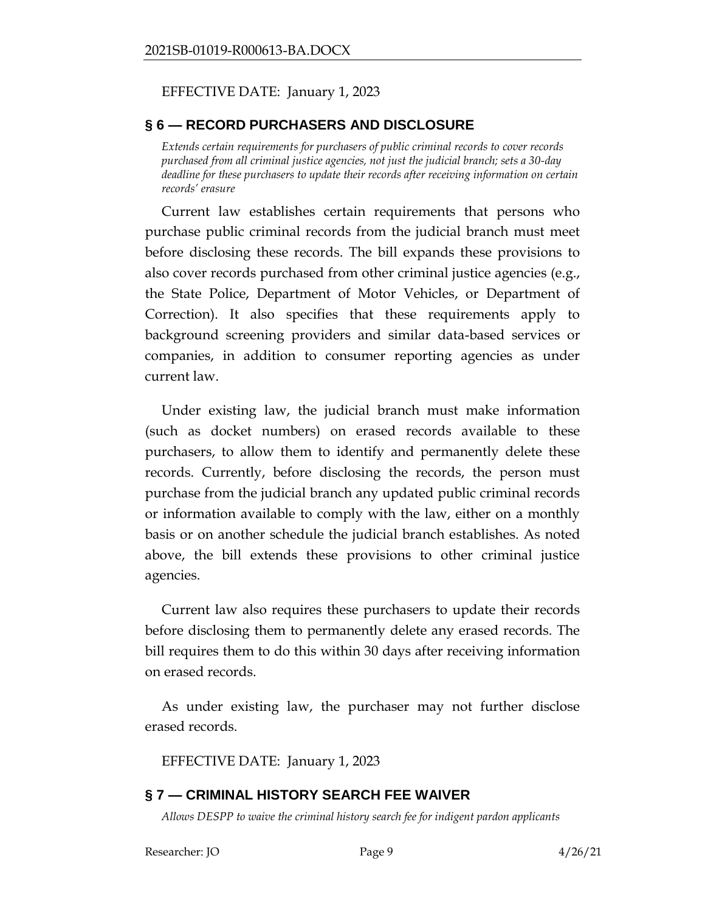## EFFECTIVE DATE: January 1, 2023

## <span id="page-8-0"></span>**§ 6 — RECORD PURCHASERS AND DISCLOSURE**

<span id="page-8-1"></span>*Extends certain requirements for purchasers of public criminal records to cover records purchased from all criminal justice agencies, not just the judicial branch; sets a 30-day deadline for these purchasers to update their records after receiving information on certain records' erasure* 

Current law establishes certain requirements that persons who purchase public criminal records from the judicial branch must meet before disclosing these records. The bill expands these provisions to also cover records purchased from other criminal justice agencies (e.g., the State Police, Department of Motor Vehicles, or Department of Correction). It also specifies that these requirements apply to background screening providers and similar data-based services or companies, in addition to consumer reporting agencies as under current law.

Under existing law, the judicial branch must make information (such as docket numbers) on erased records available to these purchasers, to allow them to identify and permanently delete these records. Currently, before disclosing the records, the person must purchase from the judicial branch any updated public criminal records or information available to comply with the law, either on a monthly basis or on another schedule the judicial branch establishes. As noted above, the bill extends these provisions to other criminal justice agencies.

Current law also requires these purchasers to update their records before disclosing them to permanently delete any erased records. The bill requires them to do this within 30 days after receiving information on erased records.

As under existing law, the purchaser may not further disclose erased records.

EFFECTIVE DATE: January 1, 2023

# <span id="page-8-2"></span>**§ 7 — CRIMINAL HISTORY SEARCH FEE WAIVER**

<span id="page-8-3"></span>*Allows DESPP to waive the criminal history search fee for indigent pardon applicants*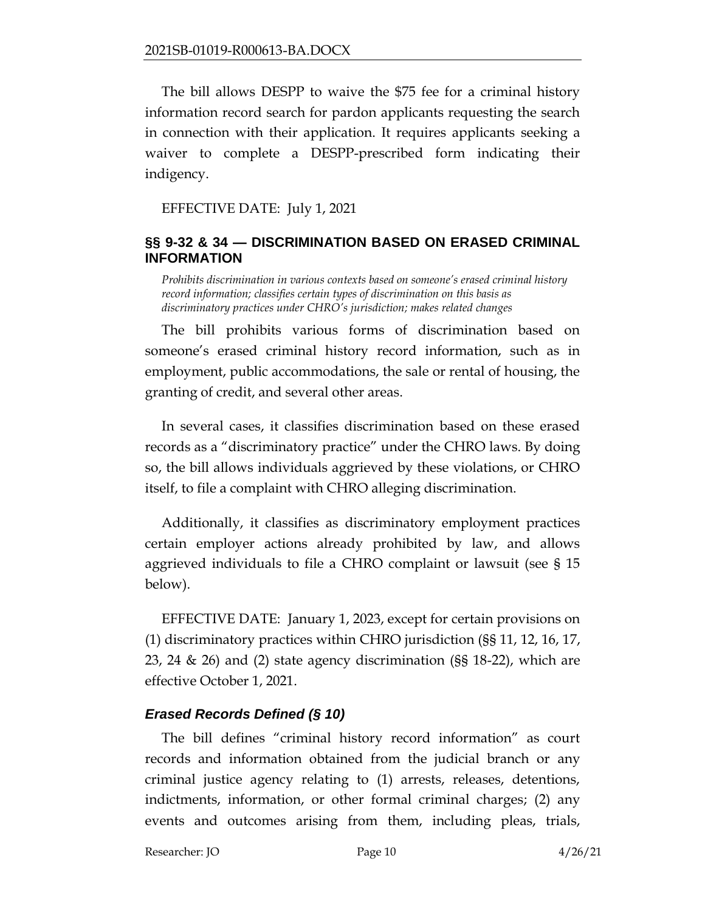The bill allows DESPP to waive the \$75 fee for a criminal history information record search for pardon applicants requesting the search in connection with their application. It requires applicants seeking a waiver to complete a DESPP-prescribed form indicating their indigency.

EFFECTIVE DATE: July 1, 2021

## <span id="page-9-0"></span>**§§ 9-32 & 34 — DISCRIMINATION BASED ON ERASED CRIMINAL INFORMATION**

<span id="page-9-1"></span>*Prohibits discrimination in various contexts based on someone's erased criminal history record information; classifies certain types of discrimination on this basis as discriminatory practices under CHRO's jurisdiction; makes related changes* 

The bill prohibits various forms of discrimination based on someone's erased criminal history record information, such as in employment, public accommodations, the sale or rental of housing, the granting of credit, and several other areas.

In several cases, it classifies discrimination based on these erased records as a "discriminatory practice" under the CHRO laws. By doing so, the bill allows individuals aggrieved by these violations, or CHRO itself, to file a complaint with CHRO alleging discrimination.

Additionally, it classifies as discriminatory employment practices certain employer actions already prohibited by law, and allows aggrieved individuals to file a CHRO complaint or lawsuit (see § 15 below).

EFFECTIVE DATE: January 1, 2023, except for certain provisions on (1) discriminatory practices within CHRO jurisdiction (§§ 11, 12, 16, 17, 23, 24 & 26) and (2) state agency discrimination (§§ 18-22), which are effective October 1, 2021.

# *Erased Records Defined (§ 10)*

The bill defines "criminal history record information" as court records and information obtained from the judicial branch or any criminal justice agency relating to (1) arrests, releases, detentions, indictments, information, or other formal criminal charges; (2) any events and outcomes arising from them, including pleas, trials,

Researcher: JO Page 10 4/26/21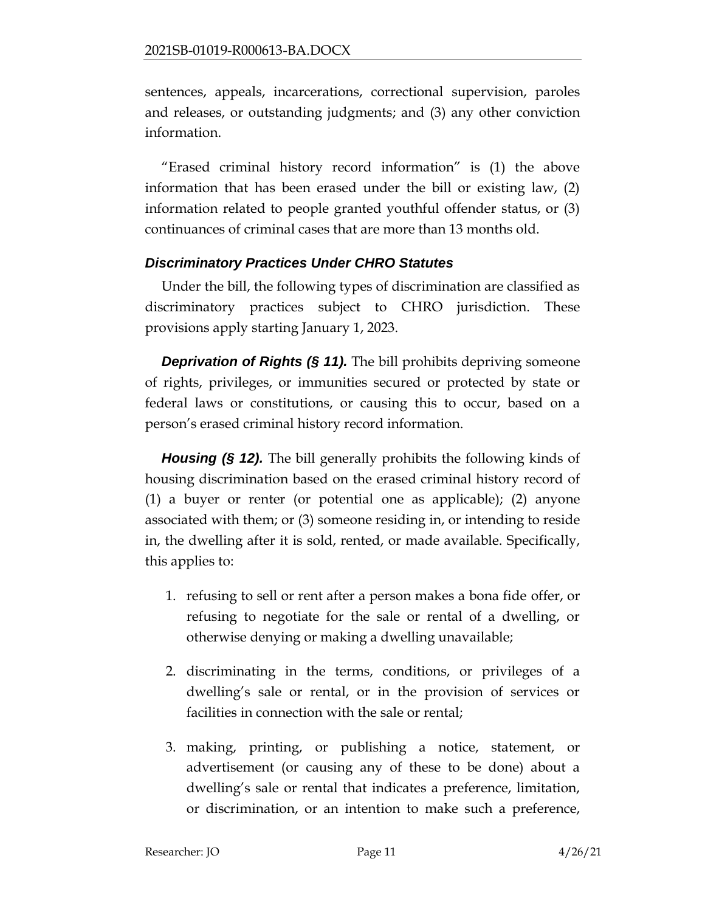sentences, appeals, incarcerations, correctional supervision, paroles and releases, or outstanding judgments; and (3) any other conviction information.

"Erased criminal history record information" is (1) the above information that has been erased under the bill or existing law, (2) information related to people granted youthful offender status, or (3) continuances of criminal cases that are more than 13 months old.

# *Discriminatory Practices Under CHRO Statutes*

Under the bill, the following types of discrimination are classified as discriminatory practices subject to CHRO jurisdiction. These provisions apply starting January 1, 2023.

*Deprivation of Rights (§ 11).* The bill prohibits depriving someone of rights, privileges, or immunities secured or protected by state or federal laws or constitutions, or causing this to occur, based on a person's erased criminal history record information.

*Housing (§ 12).* The bill generally prohibits the following kinds of housing discrimination based on the erased criminal history record of (1) a buyer or renter (or potential one as applicable); (2) anyone associated with them; or (3) someone residing in, or intending to reside in, the dwelling after it is sold, rented, or made available. Specifically, this applies to:

- 1. refusing to sell or rent after a person makes a bona fide offer, or refusing to negotiate for the sale or rental of a dwelling, or otherwise denying or making a dwelling unavailable;
- 2. discriminating in the terms, conditions, or privileges of a dwelling's sale or rental, or in the provision of services or facilities in connection with the sale or rental;
- 3. making, printing, or publishing a notice, statement, or advertisement (or causing any of these to be done) about a dwelling's sale or rental that indicates a preference, limitation, or discrimination, or an intention to make such a preference,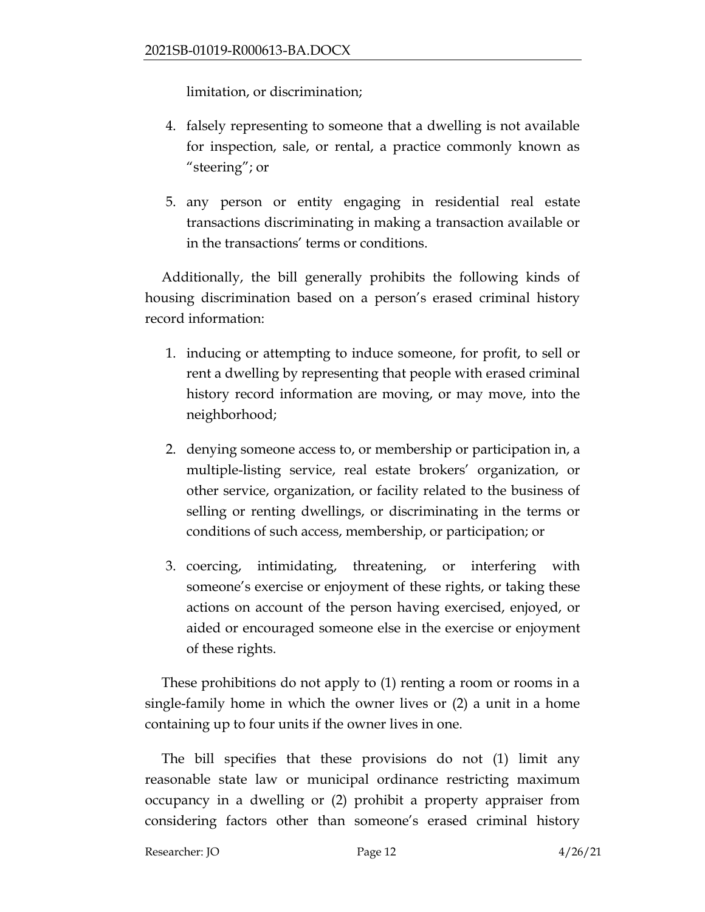limitation, or discrimination;

- 4. falsely representing to someone that a dwelling is not available for inspection, sale, or rental, a practice commonly known as "steering"; or
- 5. any person or entity engaging in residential real estate transactions discriminating in making a transaction available or in the transactions' terms or conditions.

Additionally, the bill generally prohibits the following kinds of housing discrimination based on a person's erased criminal history record information:

- 1. inducing or attempting to induce someone, for profit, to sell or rent a dwelling by representing that people with erased criminal history record information are moving, or may move, into the neighborhood;
- 2. denying someone access to, or membership or participation in, a multiple-listing service, real estate brokers' organization, or other service, organization, or facility related to the business of selling or renting dwellings, or discriminating in the terms or conditions of such access, membership, or participation; or
- 3. coercing, intimidating, threatening, or interfering with someone's exercise or enjoyment of these rights, or taking these actions on account of the person having exercised, enjoyed, or aided or encouraged someone else in the exercise or enjoyment of these rights.

These prohibitions do not apply to (1) renting a room or rooms in a single-family home in which the owner lives or (2) a unit in a home containing up to four units if the owner lives in one.

The bill specifies that these provisions do not (1) limit any reasonable state law or municipal ordinance restricting maximum occupancy in a dwelling or (2) prohibit a property appraiser from considering factors other than someone's erased criminal history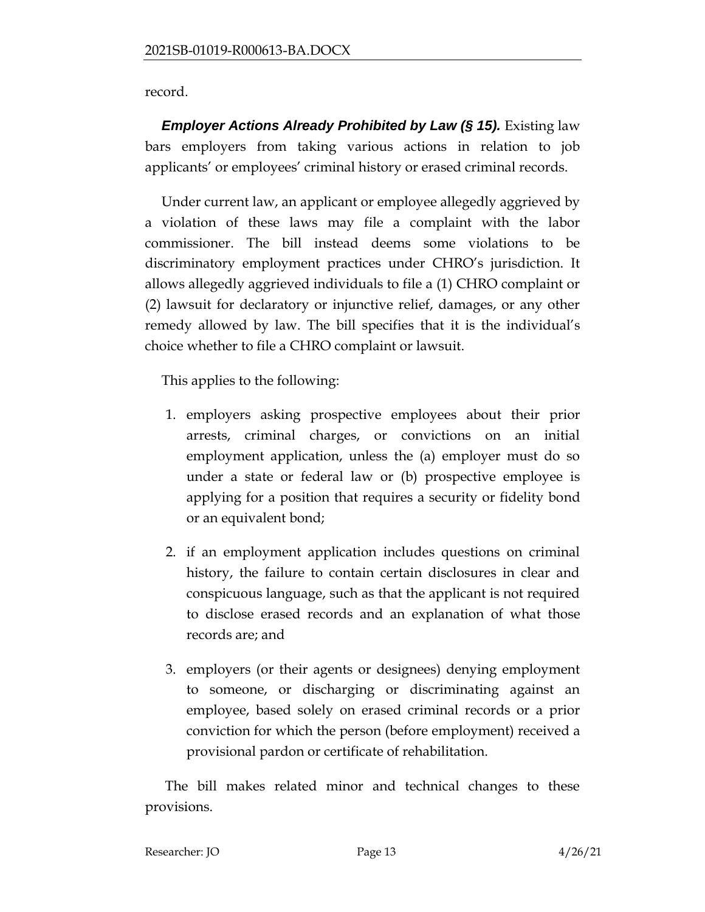## record.

*Employer Actions Already Prohibited by Law (§ 15). Existing law* bars employers from taking various actions in relation to job applicants' or employees' criminal history or erased criminal records.

Under current law, an applicant or employee allegedly aggrieved by a violation of these laws may file a complaint with the labor commissioner. The bill instead deems some violations to be discriminatory employment practices under CHRO's jurisdiction. It allows allegedly aggrieved individuals to file a (1) CHRO complaint or (2) lawsuit for declaratory or injunctive relief, damages, or any other remedy allowed by law. The bill specifies that it is the individual's choice whether to file a CHRO complaint or lawsuit.

This applies to the following:

- 1. employers asking prospective employees about their prior arrests, criminal charges, or convictions on an initial employment application, unless the (a) employer must do so under a state or federal law or (b) prospective employee is applying for a position that requires a security or fidelity bond or an equivalent bond;
- 2. if an employment application includes questions on criminal history, the failure to contain certain disclosures in clear and conspicuous language, such as that the applicant is not required to disclose erased records and an explanation of what those records are; and
- 3. employers (or their agents or designees) denying employment to someone, or discharging or discriminating against an employee, based solely on erased criminal records or a prior conviction for which the person (before employment) received a provisional pardon or certificate of rehabilitation.

The bill makes related minor and technical changes to these provisions.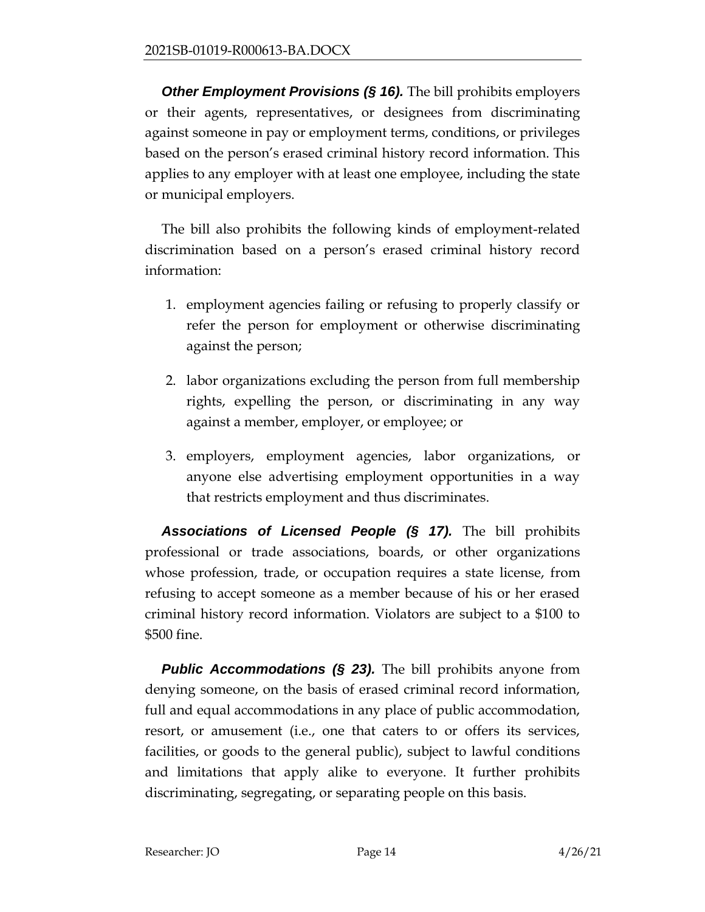**Other Employment Provisions (§ 16).** The bill prohibits employers or their agents, representatives, or designees from discriminating against someone in pay or employment terms, conditions, or privileges based on the person's erased criminal history record information. This applies to any employer with at least one employee, including the state or municipal employers.

The bill also prohibits the following kinds of employment-related discrimination based on a person's erased criminal history record information:

- 1. employment agencies failing or refusing to properly classify or refer the person for employment or otherwise discriminating against the person;
- 2. labor organizations excluding the person from full membership rights, expelling the person, or discriminating in any way against a member, employer, or employee; or
- 3. employers, employment agencies, labor organizations, or anyone else advertising employment opportunities in a way that restricts employment and thus discriminates.

*Associations of Licensed People (§ 17).* The bill prohibits professional or trade associations, boards, or other organizations whose profession, trade, or occupation requires a state license, from refusing to accept someone as a member because of his or her erased criminal history record information. Violators are subject to a \$100 to \$500 fine.

*Public Accommodations (§ 23).* The bill prohibits anyone from denying someone, on the basis of erased criminal record information, full and equal accommodations in any place of public accommodation, resort, or amusement (i.e., one that caters to or offers its services, facilities, or goods to the general public), subject to lawful conditions and limitations that apply alike to everyone. It further prohibits discriminating, segregating, or separating people on this basis.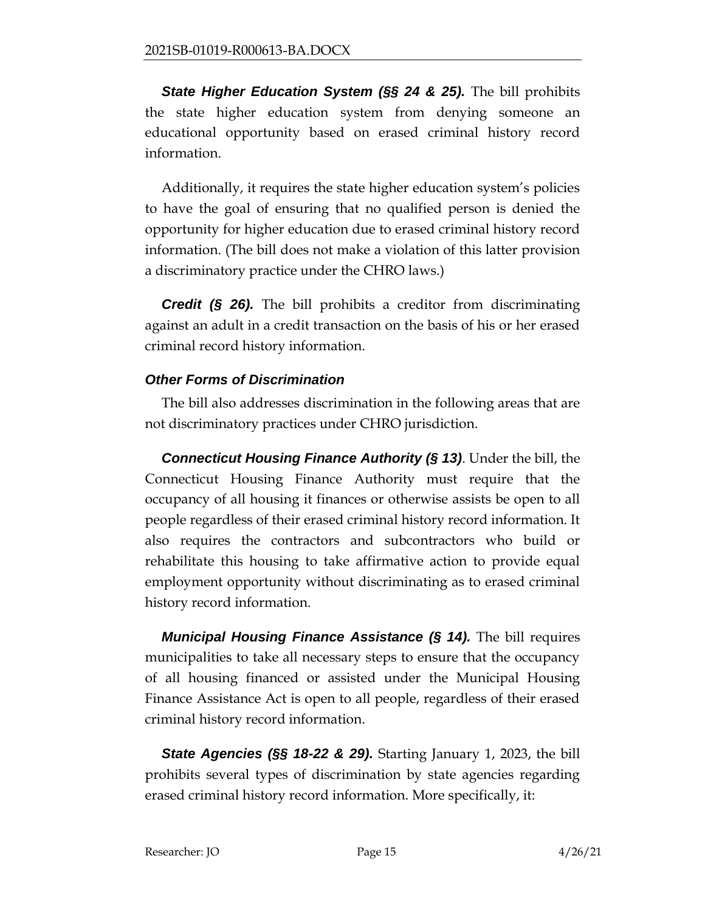*State Higher Education System (§§ 24 & 25).* The bill prohibits the state higher education system from denying someone an educational opportunity based on erased criminal history record information.

Additionally, it requires the state higher education system's policies to have the goal of ensuring that no qualified person is denied the opportunity for higher education due to erased criminal history record information. (The bill does not make a violation of this latter provision a discriminatory practice under the CHRO laws.)

*Credit (§ 26).* The bill prohibits a creditor from discriminating against an adult in a credit transaction on the basis of his or her erased criminal record history information.

# *Other Forms of Discrimination*

The bill also addresses discrimination in the following areas that are not discriminatory practices under CHRO jurisdiction.

*Connecticut Housing Finance Authority (§ 13)*. Under the bill, the Connecticut Housing Finance Authority must require that the occupancy of all housing it finances or otherwise assists be open to all people regardless of their erased criminal history record information. It also requires the contractors and subcontractors who build or rehabilitate this housing to take affirmative action to provide equal employment opportunity without discriminating as to erased criminal history record information.

*Municipal Housing Finance Assistance (§ 14).* The bill requires municipalities to take all necessary steps to ensure that the occupancy of all housing financed or assisted under the Municipal Housing Finance Assistance Act is open to all people, regardless of their erased criminal history record information.

**State Agencies (§§ 18-22 & 29).** Starting January 1, 2023, the bill prohibits several types of discrimination by state agencies regarding erased criminal history record information. More specifically, it: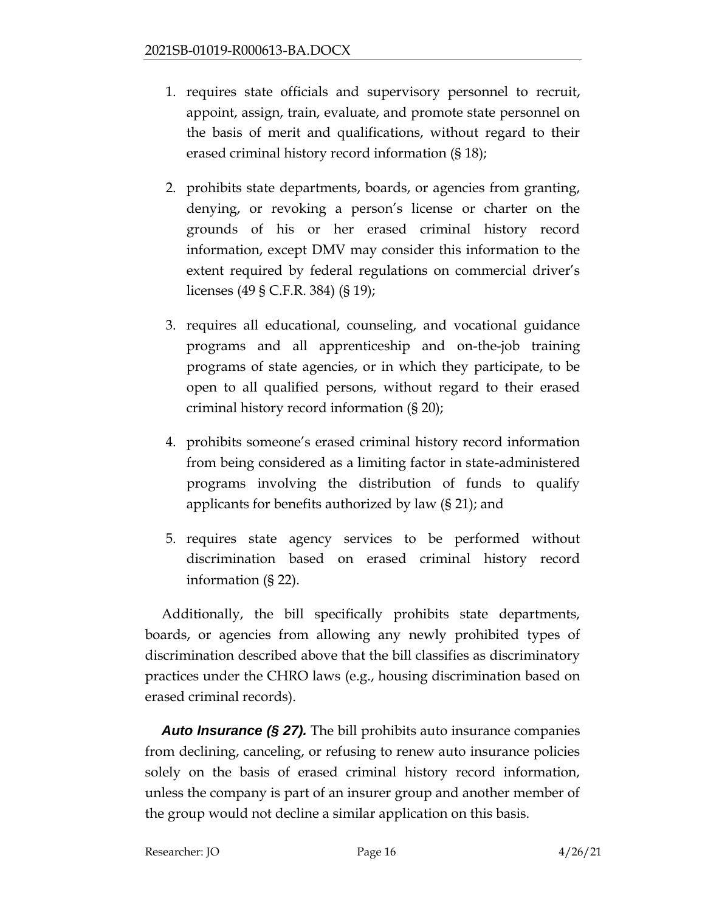- 1. requires state officials and supervisory personnel to recruit, appoint, assign, train, evaluate, and promote state personnel on the basis of merit and qualifications, without regard to their erased criminal history record information (§ 18);
- 2. prohibits state departments, boards, or agencies from granting, denying, or revoking a person's license or charter on the grounds of his or her erased criminal history record information, except DMV may consider this information to the extent required by federal regulations on commercial driver's licenses (49 § C.F.R. 384) (§ 19);
- 3. requires all educational, counseling, and vocational guidance programs and all apprenticeship and on-the-job training programs of state agencies, or in which they participate, to be open to all qualified persons, without regard to their erased criminal history record information (§ 20);
- 4. prohibits someone's erased criminal history record information from being considered as a limiting factor in state-administered programs involving the distribution of funds to qualify applicants for benefits authorized by law (§ 21); and
- 5. requires state agency services to be performed without discrimination based on erased criminal history record information (§ 22).

Additionally, the bill specifically prohibits state departments, boards, or agencies from allowing any newly prohibited types of discrimination described above that the bill classifies as discriminatory practices under the CHRO laws (e.g., housing discrimination based on erased criminal records).

*Auto Insurance (§ 27).* The bill prohibits auto insurance companies from declining, canceling, or refusing to renew auto insurance policies solely on the basis of erased criminal history record information, unless the company is part of an insurer group and another member of the group would not decline a similar application on this basis.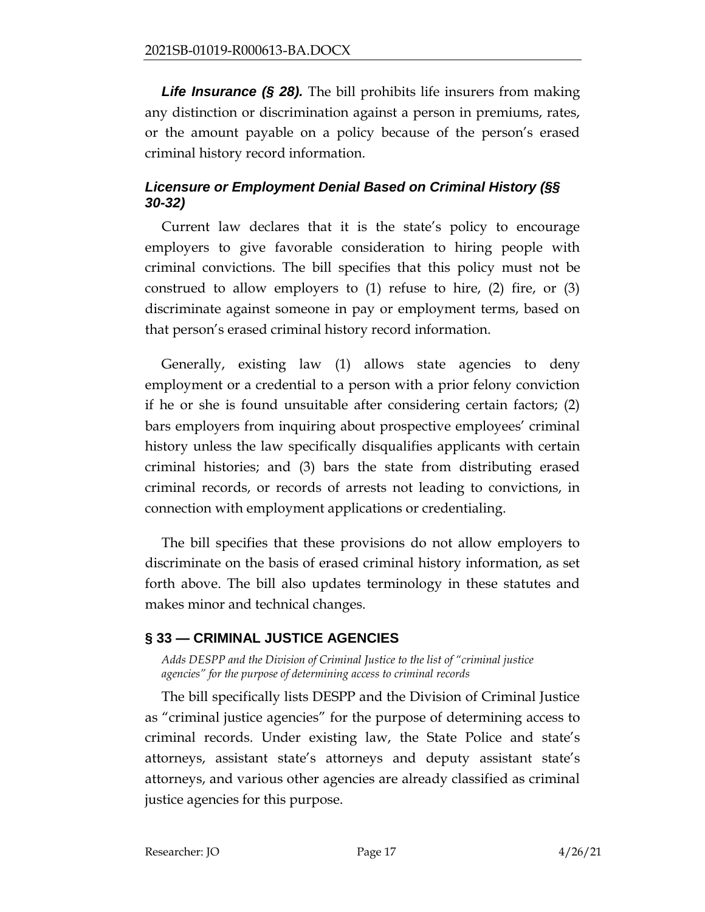**Life Insurance (§ 28).** The bill prohibits life insurers from making any distinction or discrimination against a person in premiums, rates, or the amount payable on a policy because of the person's erased criminal history record information.

# *Licensure or Employment Denial Based on Criminal History (§§ 30-32)*

Current law declares that it is the state's policy to encourage employers to give favorable consideration to hiring people with criminal convictions. The bill specifies that this policy must not be construed to allow employers to  $(1)$  refuse to hire,  $(2)$  fire, or  $(3)$ discriminate against someone in pay or employment terms, based on that person's erased criminal history record information.

Generally, existing law (1) allows state agencies to deny employment or a credential to a person with a prior felony conviction if he or she is found unsuitable after considering certain factors; (2) bars employers from inquiring about prospective employees' criminal history unless the law specifically disqualifies applicants with certain criminal histories; and (3) bars the state from distributing erased criminal records, or records of arrests not leading to convictions, in connection with employment applications or credentialing.

The bill specifies that these provisions do not allow employers to discriminate on the basis of erased criminal history information, as set forth above. The bill also updates terminology in these statutes and makes minor and technical changes.

# <span id="page-16-0"></span>**§ 33 — CRIMINAL JUSTICE AGENCIES**

<span id="page-16-1"></span>*Adds DESPP and the Division of Criminal Justice to the list of "criminal justice agencies" for the purpose of determining access to criminal records*

The bill specifically lists DESPP and the Division of Criminal Justice as "criminal justice agencies" for the purpose of determining access to criminal records. Under existing law, the State Police and state's attorneys, assistant state's attorneys and deputy assistant state's attorneys, and various other agencies are already classified as criminal justice agencies for this purpose.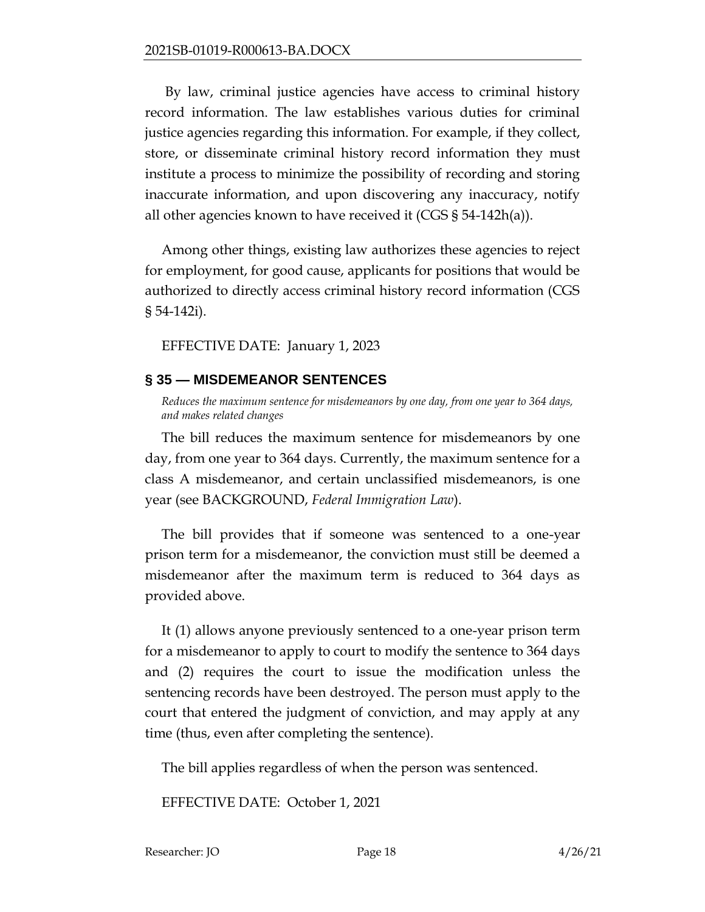By law, criminal justice agencies have access to criminal history record information. The law establishes various duties for criminal justice agencies regarding this information. For example, if they collect, store, or disseminate criminal history record information they must institute a process to minimize the possibility of recording and storing inaccurate information, and upon discovering any inaccuracy, notify all other agencies known to have received it (CGS § 54-142h(a)).

Among other things, existing law authorizes these agencies to reject for employment, for good cause, applicants for positions that would be authorized to directly access criminal history record information (CGS § 54-142i).

EFFECTIVE DATE: January 1, 2023

# <span id="page-17-0"></span>**§ 35 — MISDEMEANOR SENTENCES**

<span id="page-17-1"></span>*Reduces the maximum sentence for misdemeanors by one day, from one year to 364 days, and makes related changes*

The bill reduces the maximum sentence for misdemeanors by one day, from one year to 364 days. Currently, the maximum sentence for a class A misdemeanor, and certain unclassified misdemeanors, is one year (see BACKGROUND, *Federal Immigration Law*).

The bill provides that if someone was sentenced to a one-year prison term for a misdemeanor, the conviction must still be deemed a misdemeanor after the maximum term is reduced to 364 days as provided above.

It (1) allows anyone previously sentenced to a one-year prison term for a misdemeanor to apply to court to modify the sentence to 364 days and (2) requires the court to issue the modification unless the sentencing records have been destroyed. The person must apply to the court that entered the judgment of conviction, and may apply at any time (thus, even after completing the sentence).

The bill applies regardless of when the person was sentenced.

EFFECTIVE DATE: October 1, 2021

Researcher: JO Page 18 4/26/21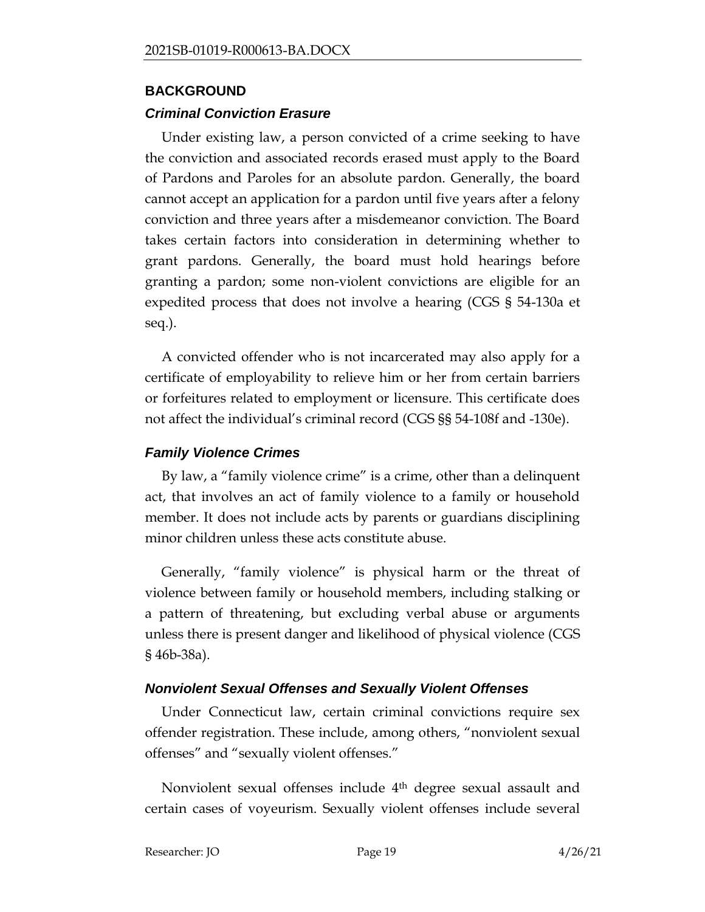### <span id="page-18-0"></span>**BACKGROUND**

## *Criminal Conviction Erasure*

Under existing law, a person convicted of a crime seeking to have the conviction and associated records erased must apply to the Board of Pardons and Paroles for an absolute pardon. Generally, the board cannot accept an application for a pardon until five years after a felony conviction and three years after a misdemeanor conviction. The Board takes certain factors into consideration in determining whether to grant pardons. Generally, the board must hold hearings before granting a pardon; some non-violent convictions are eligible for an expedited process that does not involve a hearing (CGS § 54-130a et seq.).

A convicted offender who is not incarcerated may also apply for a certificate of employability to relieve him or her from certain barriers or forfeitures related to employment or licensure. This certificate does not affect the individual's criminal record (CGS §§ 54-108f and -130e).

## *Family Violence Crimes*

By law, a "family violence crime" is a crime, other than a delinquent act, that involves an act of family violence to a family or household member. It does not include acts by parents or guardians disciplining minor children unless these acts constitute abuse.

Generally, "family violence" is physical harm or the threat of violence between family or household members, including stalking or a pattern of threatening, but excluding verbal abuse or arguments unless there is present danger and likelihood of physical violence (CGS § 46b-38a).

# *Nonviolent Sexual Offenses and Sexually Violent Offenses*

Under Connecticut law, certain criminal convictions require sex offender registration. These include, among others, "nonviolent sexual offenses" and "sexually violent offenses."

Nonviolent sexual offenses include 4th degree sexual assault and certain cases of voyeurism. Sexually violent offenses include several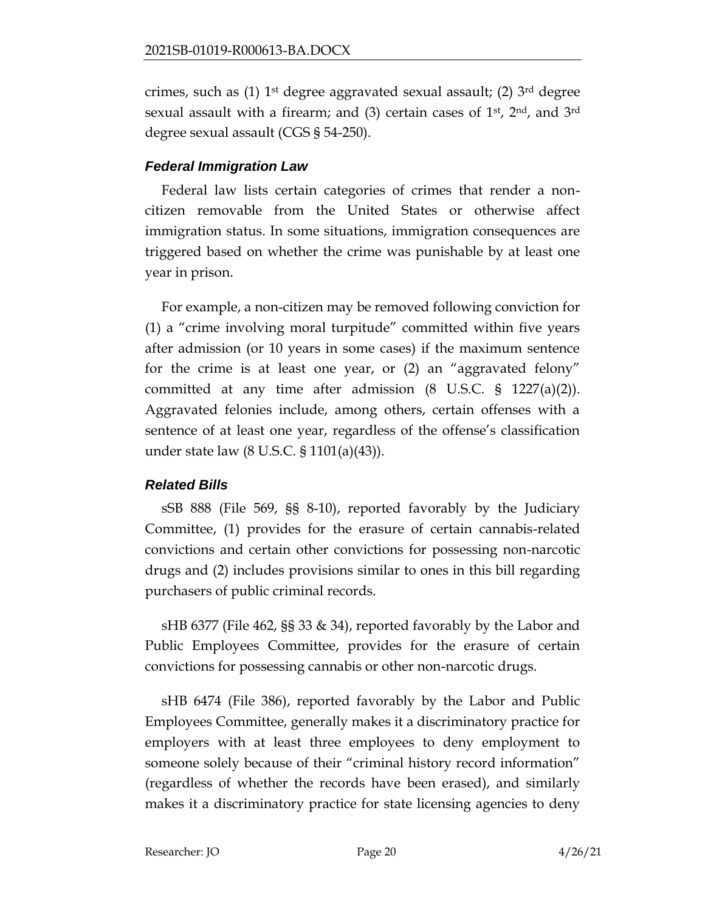crimes, such as  $(1)$  1<sup>st</sup> degree aggravated sexual assault;  $(2)$  3<sup>rd</sup> degree sexual assault with a firearm; and  $(3)$  certain cases of 1<sup>st</sup>, 2<sup>nd</sup>, and 3<sup>rd</sup> degree sexual assault (CGS § 54-250).

# *Federal Immigration Law*

Federal law lists certain categories of crimes that render a noncitizen removable from the United States or otherwise affect immigration status. In some situations, immigration consequences are triggered based on whether the crime was punishable by at least one year in prison.

For example, a non-citizen may be removed following conviction for (1) a "crime involving moral turpitude" committed within five years after admission (or 10 years in some cases) if the maximum sentence for the crime is at least one year, or (2) an "aggravated felony" committed at any time after admission  $(8 \text{ U.S.C. } § 1227(a)(2)).$ Aggravated felonies include, among others, certain offenses with a sentence of at least one year, regardless of the offense's classification under state law (8 U.S.C. § 1101(a)(43)).

# *Related Bills*

sSB 888 (File 569, §§ 8-10), reported favorably by the Judiciary Committee, (1) provides for the erasure of certain cannabis-related convictions and certain other convictions for possessing non-narcotic drugs and (2) includes provisions similar to ones in this bill regarding purchasers of public criminal records.

sHB 6377 (File 462, §§ 33 & 34), reported favorably by the Labor and Public Employees Committee, provides for the erasure of certain convictions for possessing cannabis or other non-narcotic drugs.

sHB 6474 (File 386), reported favorably by the Labor and Public Employees Committee, generally makes it a discriminatory practice for employers with at least three employees to deny employment to someone solely because of their "criminal history record information" (regardless of whether the records have been erased), and similarly makes it a discriminatory practice for state licensing agencies to deny